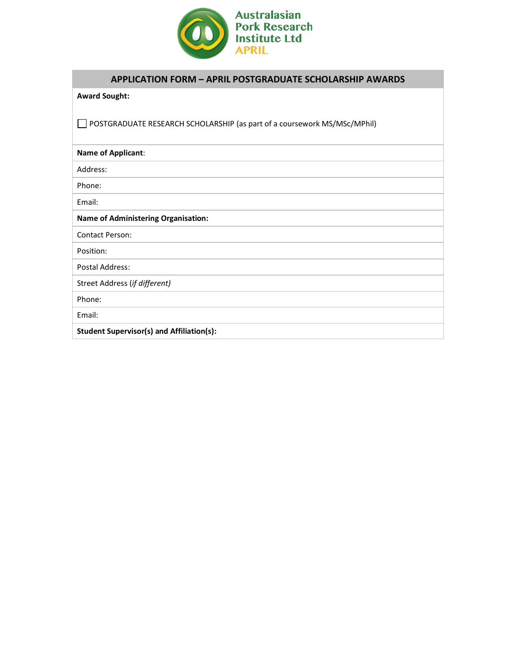

## **APPLICATION FORM – APRIL POSTGRADUATE SCHOLARSHIP AWARDS**

## **Award Sought:**

POSTGRADUATE RESEARCH SCHOLARSHIP (as part of a coursework MS/MSc/MPhil)

**Name of Applicant**: Address: Phone: Email: **Name of Administering Organisation:**  Contact Person: Position: Postal Address: Street Address (*if different)* Phone: Email: **Student Supervisor(s) and Affiliation(s):**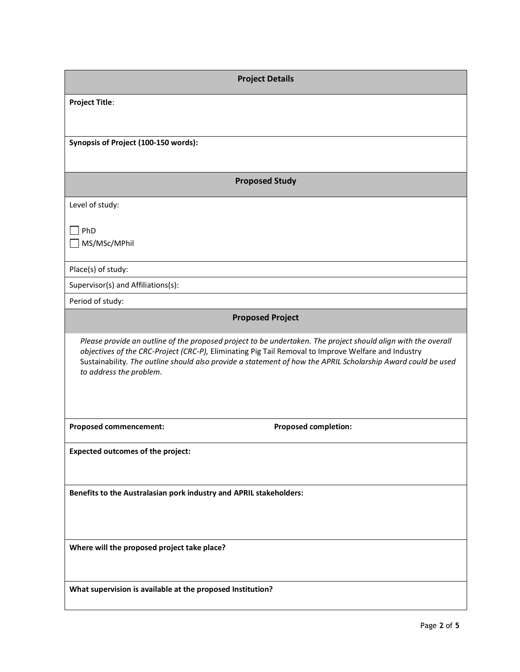| <b>Project Details</b>                                                                                                                                                                                                                                                                                                                                          |  |  |  |  |
|-----------------------------------------------------------------------------------------------------------------------------------------------------------------------------------------------------------------------------------------------------------------------------------------------------------------------------------------------------------------|--|--|--|--|
| <b>Project Title:</b>                                                                                                                                                                                                                                                                                                                                           |  |  |  |  |
|                                                                                                                                                                                                                                                                                                                                                                 |  |  |  |  |
| Synopsis of Project (100-150 words):                                                                                                                                                                                                                                                                                                                            |  |  |  |  |
|                                                                                                                                                                                                                                                                                                                                                                 |  |  |  |  |
| <b>Proposed Study</b>                                                                                                                                                                                                                                                                                                                                           |  |  |  |  |
| Level of study:                                                                                                                                                                                                                                                                                                                                                 |  |  |  |  |
| PhD                                                                                                                                                                                                                                                                                                                                                             |  |  |  |  |
| MS/MSc/MPhil                                                                                                                                                                                                                                                                                                                                                    |  |  |  |  |
| Place(s) of study:                                                                                                                                                                                                                                                                                                                                              |  |  |  |  |
| Supervisor(s) and Affiliations(s):                                                                                                                                                                                                                                                                                                                              |  |  |  |  |
| Period of study:                                                                                                                                                                                                                                                                                                                                                |  |  |  |  |
| <b>Proposed Project</b>                                                                                                                                                                                                                                                                                                                                         |  |  |  |  |
| Please provide an outline of the proposed project to be undertaken. The project should align with the overall<br>objectives of the CRC-Project (CRC-P), Eliminating Pig Tail Removal to Improve Welfare and Industry<br>Sustainability. The outline should also provide a statement of how the APRIL Scholarship Award could be used<br>to address the problem. |  |  |  |  |
| <b>Proposed completion:</b><br><b>Proposed commencement:</b>                                                                                                                                                                                                                                                                                                    |  |  |  |  |
| <b>Expected outcomes of the project:</b>                                                                                                                                                                                                                                                                                                                        |  |  |  |  |
|                                                                                                                                                                                                                                                                                                                                                                 |  |  |  |  |
| Benefits to the Australasian pork industry and APRIL stakeholders:                                                                                                                                                                                                                                                                                              |  |  |  |  |
|                                                                                                                                                                                                                                                                                                                                                                 |  |  |  |  |
|                                                                                                                                                                                                                                                                                                                                                                 |  |  |  |  |
| Where will the proposed project take place?                                                                                                                                                                                                                                                                                                                     |  |  |  |  |
|                                                                                                                                                                                                                                                                                                                                                                 |  |  |  |  |
| What supervision is available at the proposed Institution?                                                                                                                                                                                                                                                                                                      |  |  |  |  |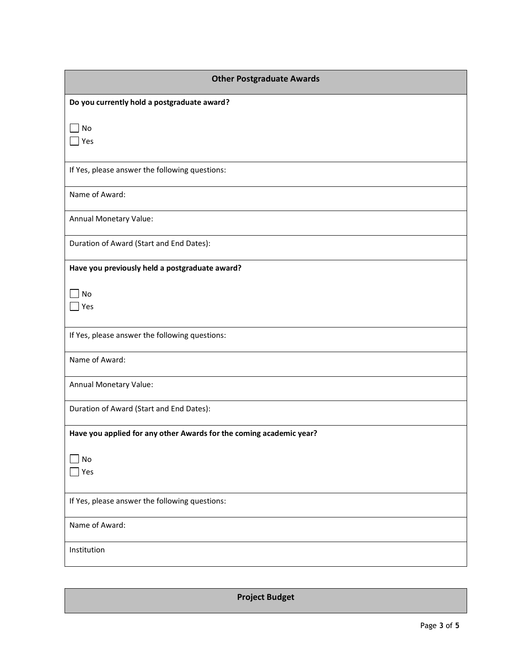| <b>Other Postgraduate Awards</b>                                    |
|---------------------------------------------------------------------|
| Do you currently hold a postgraduate award?                         |
| No<br>Yes                                                           |
|                                                                     |
| If Yes, please answer the following questions:                      |
| Name of Award:                                                      |
| Annual Monetary Value:                                              |
| Duration of Award (Start and End Dates):                            |
| Have you previously held a postgraduate award?                      |
| No                                                                  |
| Yes                                                                 |
| If Yes, please answer the following questions:                      |
| Name of Award:                                                      |
| Annual Monetary Value:                                              |
| Duration of Award (Start and End Dates):                            |
| Have you applied for any other Awards for the coming academic year? |
| No                                                                  |
| Yes                                                                 |
| If Yes, please answer the following questions:                      |
| Name of Award:                                                      |
| Institution                                                         |

**Project Budget**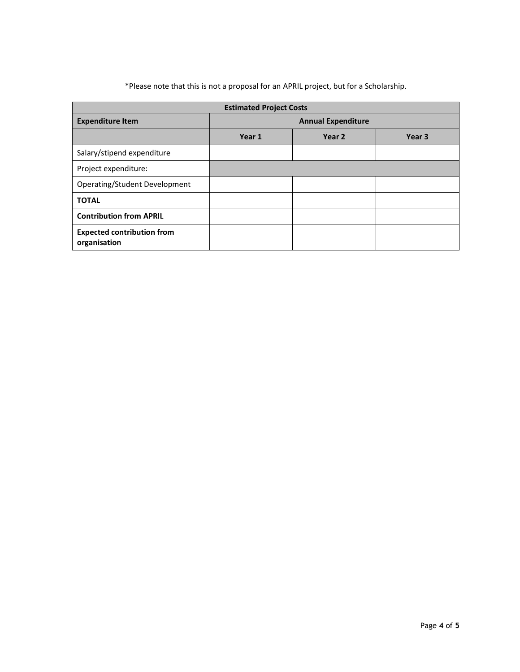| *Please note that this is not a proposal for an APRIL project, but for a Scholarship. |  |  |
|---------------------------------------------------------------------------------------|--|--|
|---------------------------------------------------------------------------------------|--|--|

| <b>Estimated Project Costs</b>                    |                           |        |                   |  |
|---------------------------------------------------|---------------------------|--------|-------------------|--|
| <b>Expenditure Item</b>                           | <b>Annual Expenditure</b> |        |                   |  |
|                                                   | Year 1                    | Year 2 | Year <sub>3</sub> |  |
| Salary/stipend expenditure                        |                           |        |                   |  |
| Project expenditure:                              |                           |        |                   |  |
| Operating/Student Development                     |                           |        |                   |  |
| <b>TOTAL</b>                                      |                           |        |                   |  |
| <b>Contribution from APRIL</b>                    |                           |        |                   |  |
| <b>Expected contribution from</b><br>organisation |                           |        |                   |  |